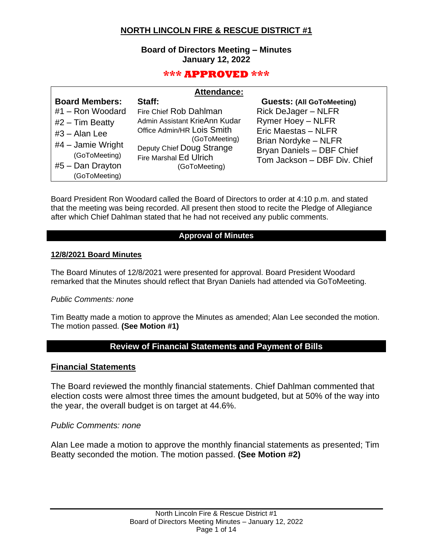## **NORTH LINCOLN FIRE & RESCUE DISTRICT #1**

### **Board of Directors Meeting – Minutes January 12, 2022**

## **\*\*\* APPROVED \*\*\***

|                                                                                                                                                                  | <b>Attendance:</b>                                                                                                                                                                       |                                                                                                                                                                                                        |  |  |  |
|------------------------------------------------------------------------------------------------------------------------------------------------------------------|------------------------------------------------------------------------------------------------------------------------------------------------------------------------------------------|--------------------------------------------------------------------------------------------------------------------------------------------------------------------------------------------------------|--|--|--|
| <b>Board Members:</b><br>#1 - Ron Woodard<br>$#2$ – Tim Beatty<br>$#3 - Alan Lee$<br>$#4$ – Jamie Wright<br>(GoToMeeting)<br>$#5 - Dan Drayton$<br>(GoToMeeting) | Staff:<br>Fire Chief Rob Dahlman<br>Admin Assistant KrieAnn Kudar<br>Office Admin/HR Lois Smith<br>(GoToMeeting)<br>Deputy Chief Doug Strange<br>Fire Marshal Ed Ulrich<br>(GoToMeeting) | <b>Guests: (All GoToMeeting)</b><br><b>Rick DeJager - NLFR</b><br><b>Rymer Hoey - NLFR</b><br>Eric Maestas - NLFR<br>Brian Nordyke - NLFR<br>Bryan Daniels - DBF Chief<br>Tom Jackson - DBF Div. Chief |  |  |  |

Board President Ron Woodard called the Board of Directors to order at 4:10 p.m. and stated that the meeting was being recorded. All present then stood to recite the Pledge of Allegiance after which Chief Dahlman stated that he had not received any public comments.

### **Approval of Minutes**

### **12/8/2021 Board Minutes**

The Board Minutes of 12/8/2021 were presented for approval. Board President Woodard remarked that the Minutes should reflect that Bryan Daniels had attended via GoToMeeting.

### *Public Comments: none*

Tim Beatty made a motion to approve the Minutes as amended; Alan Lee seconded the motion. The motion passed. **(See Motion #1)**

## **Review of Financial Statements and Payment of Bills**

### **Financial Statements**

The Board reviewed the monthly financial statements. Chief Dahlman commented that election costs were almost three times the amount budgeted, but at 50% of the way into the year, the overall budget is on target at 44.6%.

#### *Public Comments: none*

Alan Lee made a motion to approve the monthly financial statements as presented; Tim Beatty seconded the motion. The motion passed. **(See Motion #2)**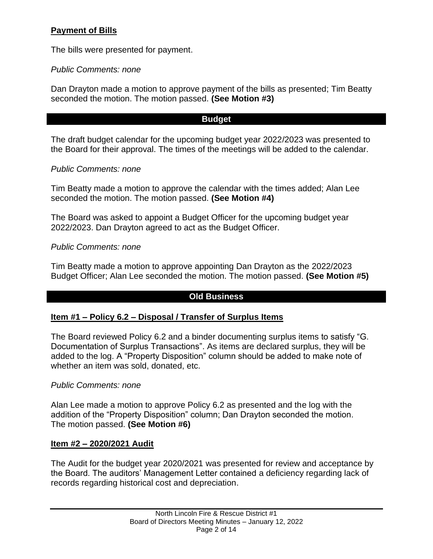# **Payment of Bills**

The bills were presented for payment.

*Public Comments: none*

Dan Drayton made a motion to approve payment of the bills as presented; Tim Beatty seconded the motion. The motion passed. **(See Motion #3)**

## **Budget**

The draft budget calendar for the upcoming budget year 2022/2023 was presented to the Board for their approval. The times of the meetings will be added to the calendar.

## *Public Comments: none*

Tim Beatty made a motion to approve the calendar with the times added; Alan Lee seconded the motion. The motion passed. **(See Motion #4)**

The Board was asked to appoint a Budget Officer for the upcoming budget year 2022/2023. Dan Drayton agreed to act as the Budget Officer.

*Public Comments: none*

Tim Beatty made a motion to approve appointing Dan Drayton as the 2022/2023 Budget Officer; Alan Lee seconded the motion. The motion passed. **(See Motion #5)**

## **Old Business**

## **Item #1 – Policy 6.2 – Disposal / Transfer of Surplus Items**

The Board reviewed Policy 6.2 and a binder documenting surplus items to satisfy "G. Documentation of Surplus Transactions". As items are declared surplus, they will be added to the log. A "Property Disposition" column should be added to make note of whether an item was sold, donated, etc.

## *Public Comments: none*

Alan Lee made a motion to approve Policy 6.2 as presented and the log with the addition of the "Property Disposition" column; Dan Drayton seconded the motion. The motion passed. **(See Motion #6)**

## **Item #2 – 2020/2021 Audit**

The Audit for the budget year 2020/2021 was presented for review and acceptance by the Board. The auditors' Management Letter contained a deficiency regarding lack of records regarding historical cost and depreciation.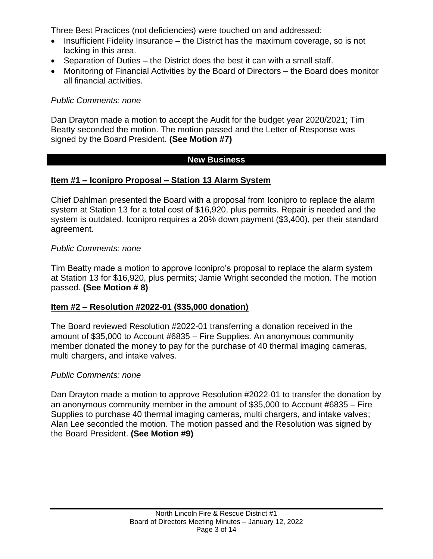Three Best Practices (not deficiencies) were touched on and addressed:

- Insufficient Fidelity Insurance the District has the maximum coverage, so is not lacking in this area.
- Separation of Duties the District does the best it can with a small staff.
- Monitoring of Financial Activities by the Board of Directors the Board does monitor all financial activities.

## *Public Comments: none*

Dan Drayton made a motion to accept the Audit for the budget year 2020/2021; Tim Beatty seconded the motion. The motion passed and the Letter of Response was signed by the Board President. **(See Motion #7)**

## **New Business**

## **Item #1 – Iconipro Proposal – Station 13 Alarm System**

Chief Dahlman presented the Board with a proposal from Iconipro to replace the alarm system at Station 13 for a total cost of \$16,920, plus permits. Repair is needed and the system is outdated. Iconipro requires a 20% down payment (\$3,400), per their standard agreement.

## *Public Comments: none*

Tim Beatty made a motion to approve Iconipro's proposal to replace the alarm system at Station 13 for \$16,920, plus permits; Jamie Wright seconded the motion. The motion passed. **(See Motion # 8)**

## **Item #2 – Resolution #2022-01 (\$35,000 donation)**

The Board reviewed Resolution #2022-01 transferring a donation received in the amount of \$35,000 to Account #6835 – Fire Supplies. An anonymous community member donated the money to pay for the purchase of 40 thermal imaging cameras, multi chargers, and intake valves.

### *Public Comments: none*

Dan Drayton made a motion to approve Resolution #2022-01 to transfer the donation by an anonymous community member in the amount of \$35,000 to Account #6835 – Fire Supplies to purchase 40 thermal imaging cameras, multi chargers, and intake valves; Alan Lee seconded the motion. The motion passed and the Resolution was signed by the Board President. **(See Motion #9)**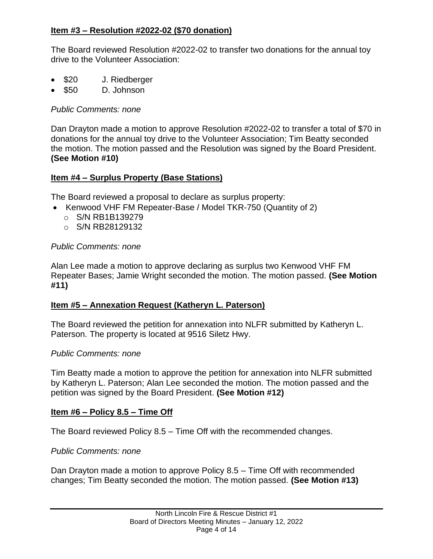## **Item #3 – Resolution #2022-02 (\$70 donation)**

The Board reviewed Resolution #2022-02 to transfer two donations for the annual toy drive to the Volunteer Association:

- \$20 J. Riedberger
- \$50 D. Johnson

*Public Comments: none*

Dan Drayton made a motion to approve Resolution #2022-02 to transfer a total of \$70 in donations for the annual toy drive to the Volunteer Association; Tim Beatty seconded the motion. The motion passed and the Resolution was signed by the Board President. **(See Motion #10)**

## **Item #4 – Surplus Property (Base Stations)**

The Board reviewed a proposal to declare as surplus property:

- Kenwood VHF FM Repeater-Base / Model TKR-750 (Quantity of 2)
	- o S/N RB1B139279
	- o S/N RB28129132

## *Public Comments: none*

Alan Lee made a motion to approve declaring as surplus two Kenwood VHF FM Repeater Bases; Jamie Wright seconded the motion. The motion passed. **(See Motion #11)**

## **Item #5 – Annexation Request (Katheryn L. Paterson)**

The Board reviewed the petition for annexation into NLFR submitted by Katheryn L. Paterson. The property is located at 9516 Siletz Hwy.

## *Public Comments: none*

Tim Beatty made a motion to approve the petition for annexation into NLFR submitted by Katheryn L. Paterson; Alan Lee seconded the motion. The motion passed and the petition was signed by the Board President. **(See Motion #12)**

## **Item #6 – Policy 8.5 – Time Off**

The Board reviewed Policy 8.5 – Time Off with the recommended changes.

## *Public Comments: none*

Dan Drayton made a motion to approve Policy 8.5 – Time Off with recommended changes; Tim Beatty seconded the motion. The motion passed. **(See Motion #13)**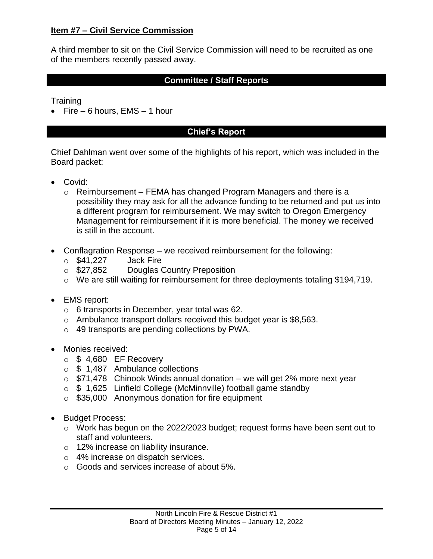## **Item #7 – Civil Service Commission**

A third member to sit on the Civil Service Commission will need to be recruited as one of the members recently passed away.

## **Committee / Staff Reports**

**Training** 

• Fire  $-6$  hours, EMS  $-1$  hour

## **Chief's Report**

Chief Dahlman went over some of the highlights of his report, which was included in the Board packet:

- Covid:
	- $\circ$  Reimbursement FEMA has changed Program Managers and there is a possibility they may ask for all the advance funding to be returned and put us into a different program for reimbursement. We may switch to Oregon Emergency Management for reimbursement if it is more beneficial. The money we received is still in the account.
- Conflagration Response we received reimbursement for the following:
	- $\circ$  \$41,227 Jack Fire
	- o \$27,852 Douglas Country Preposition
	- o We are still waiting for reimbursement for three deployments totaling \$194,719.
- EMS report:
	- o 6 transports in December, year total was 62.
	- o Ambulance transport dollars received this budget year is \$8,563.
	- o 49 transports are pending collections by PWA.
- Monies received:
	- $\circ$  \$ 4,680 EF Recovery
	- o \$ 1,487 Ambulance collections
	- $\circ$  \$71,478 Chinook Winds annual donation we will get 2% more next year
	- o \$ 1,625 Linfield College (McMinnville) football game standby
	- o \$35,000 Anonymous donation for fire equipment
- Budget Process:
	- o Work has begun on the 2022/2023 budget; request forms have been sent out to staff and volunteers.
	- o 12% increase on liability insurance.
	- o 4% increase on dispatch services.
	- o Goods and services increase of about 5%.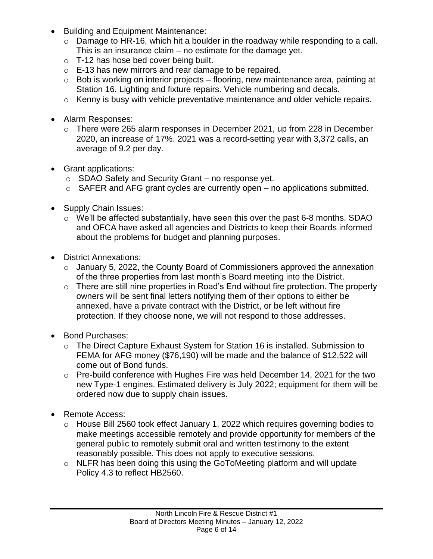- Building and Equipment Maintenance:
	- o Damage to HR-16, which hit a boulder in the roadway while responding to a call. This is an insurance claim – no estimate for the damage yet.
	- o T-12 has hose bed cover being built.
	- o E-13 has new mirrors and rear damage to be repaired.
	- $\circ$  Bob is working on interior projects flooring, new maintenance area, painting at Station 16. Lighting and fixture repairs. Vehicle numbering and decals.
	- o Kenny is busy with vehicle preventative maintenance and older vehicle repairs.
- Alarm Responses:
	- o There were 265 alarm responses in December 2021, up from 228 in December 2020, an increase of 17%. 2021 was a record-setting year with 3,372 calls, an average of 9.2 per day.
- Grant applications:
	- o SDAO Safety and Security Grant no response yet.
	- $\circ$  SAFER and AFG grant cycles are currently open no applications submitted.
- Supply Chain Issues:
	- o We'll be affected substantially, have seen this over the past 6-8 months. SDAO and OFCA have asked all agencies and Districts to keep their Boards informed about the problems for budget and planning purposes.
- District Annexations:
	- $\circ$  January 5, 2022, the County Board of Commissioners approved the annexation of the three properties from last month's Board meeting into the District.
	- $\circ$  There are still nine properties in Road's End without fire protection. The property owners will be sent final letters notifying them of their options to either be annexed, have a private contract with the District, or be left without fire protection. If they choose none, we will not respond to those addresses.
- Bond Purchases:
	- o The Direct Capture Exhaust System for Station 16 is installed. Submission to FEMA for AFG money (\$76,190) will be made and the balance of \$12,522 will come out of Bond funds.
	- $\circ$  Pre-build conference with Hughes Fire was held December 14, 2021 for the two new Type-1 engines. Estimated delivery is July 2022; equipment for them will be ordered now due to supply chain issues.
- Remote Access:
	- o House Bill 2560 took effect January 1, 2022 which requires governing bodies to make meetings accessible remotely and provide opportunity for members of the general public to remotely submit oral and written testimony to the extent reasonably possible. This does not apply to executive sessions.
	- o NLFR has been doing this using the GoToMeeting platform and will update Policy 4.3 to reflect HB2560.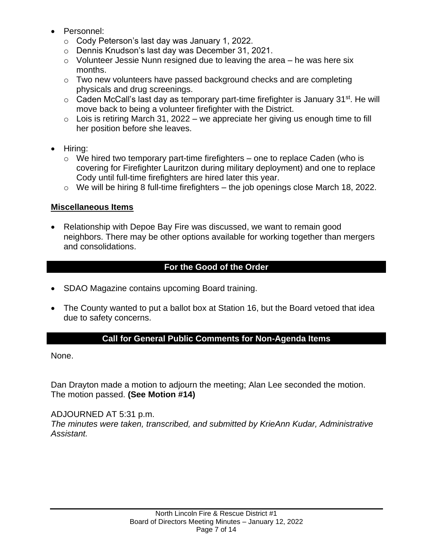- Personnel:
	- o Cody Peterson's last day was January 1, 2022.
	- o Dennis Knudson's last day was December 31, 2021.
	- $\circ$  Volunteer Jessie Nunn resigned due to leaving the area he was here six months.
	- o Two new volunteers have passed background checks and are completing physicals and drug screenings.
	- $\circ$  Caden McCall's last day as temporary part-time firefighter is January 31<sup>st</sup>. He will move back to being a volunteer firefighter with the District.
	- $\circ$  Lois is retiring March 31, 2022 we appreciate her giving us enough time to fill her position before she leaves.
- Hiring:
	- $\circ$  We hired two temporary part-time firefighters one to replace Caden (who is covering for Firefighter Lauritzon during military deployment) and one to replace Cody until full-time firefighters are hired later this year.
	- $\circ$  We will be hiring 8 full-time firefighters the job openings close March 18, 2022.

# **Miscellaneous Items**

• Relationship with Depoe Bay Fire was discussed, we want to remain good neighbors. There may be other options available for working together than mergers and consolidations.

# **For the Good of the Order**

- SDAO Magazine contains upcoming Board training.
- The County wanted to put a ballot box at Station 16, but the Board vetoed that idea due to safety concerns.

## **Call for General Public Comments for Non-Agenda Items**

None.

Dan Drayton made a motion to adjourn the meeting; Alan Lee seconded the motion. The motion passed. **(See Motion #14)**

## ADJOURNED AT 5:31 p.m.

*The minutes were taken, transcribed, and submitted by KrieAnn Kudar, Administrative Assistant.*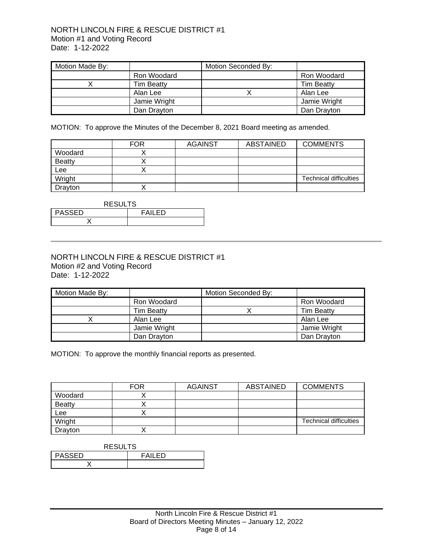### NORTH LINCOLN FIRE & RESCUE DISTRICT #1 Motion #1 and Voting Record Date: 1-12-2022

| Motion Made By: |                   | Motion Seconded By: |                   |
|-----------------|-------------------|---------------------|-------------------|
|                 | Ron Woodard       |                     | Ron Woodard       |
|                 | <b>Tim Beatty</b> |                     | <b>Tim Beatty</b> |
|                 | Alan Lee          |                     | Alan Lee          |
|                 | Jamie Wright      |                     | Jamie Wright      |
|                 | Dan Drayton       |                     | Dan Drayton       |

MOTION: To approve the Minutes of the December 8, 2021 Board meeting as amended.

|               | <b>FOR</b> | <b>AGAINST</b> | ABSTAINED | <b>COMMENTS</b>               |
|---------------|------------|----------------|-----------|-------------------------------|
| Woodard       |            |                |           |                               |
| <b>Beatty</b> |            |                |           |                               |
| Lee           |            |                |           |                               |
| Wright        |            |                |           | <b>Technical difficulties</b> |
| Dravton       |            |                |           |                               |

| <b>RESULTS</b>           |  |  |
|--------------------------|--|--|
| <b>PASSED</b><br>FAII FD |  |  |
|                          |  |  |

### NORTH LINCOLN FIRE & RESCUE DISTRICT #1 Motion #2 and Voting Record Date: 1-12-2022

| Motion Made By: |                   | Motion Seconded By: |                   |
|-----------------|-------------------|---------------------|-------------------|
|                 | Ron Woodard       |                     | Ron Woodard       |
|                 | <b>Tim Beatty</b> |                     | <b>Tim Beatty</b> |
|                 | Alan Lee          |                     | Alan Lee          |
|                 | Jamie Wright      |                     | Jamie Wright      |
|                 | Dan Drayton       |                     | Dan Drayton       |

MOTION: To approve the monthly financial reports as presented.

|               | <b>FOR</b> | <b>AGAINST</b> | <b>ABSTAINED</b> | <b>COMMENTS</b>               |
|---------------|------------|----------------|------------------|-------------------------------|
| Woodard       |            |                |                  |                               |
| <b>Beatty</b> |            |                |                  |                               |
| Lee           |            |                |                  |                               |
| Wright        |            |                |                  | <b>Technical difficulties</b> |
| Drayton       |            |                |                  |                               |

| <b>RESULTS</b>           |  |  |
|--------------------------|--|--|
| <b>PASSED</b><br>FAII FD |  |  |
|                          |  |  |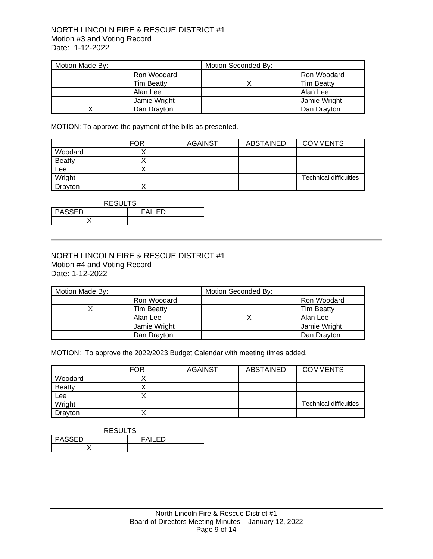### NORTH LINCOLN FIRE & RESCUE DISTRICT #1 Motion #3 and Voting Record Date: 1-12-2022

| Motion Made By: |                   | Motion Seconded By: |                   |
|-----------------|-------------------|---------------------|-------------------|
|                 | Ron Woodard       |                     | Ron Woodard       |
|                 | <b>Tim Beatty</b> |                     | <b>Tim Beatty</b> |
|                 | Alan Lee          |                     | Alan Lee          |
|                 | Jamie Wright      |                     | Jamie Wright      |
|                 | Dan Dravton       |                     | Dan Drayton       |

MOTION: To approve the payment of the bills as presented.

|                | <b>FOR</b> | <b>AGAINST</b> | ABSTAINED | <b>COMMENTS</b>               |
|----------------|------------|----------------|-----------|-------------------------------|
| Woodard        |            |                |           |                               |
| <b>Beatty</b>  |            |                |           |                               |
| Lee            |            |                |           |                               |
| Wright         |            |                |           | <b>Technical difficulties</b> |
| <b>Dravton</b> |            |                |           |                               |

| <b>RESULTS</b>                 |  |  |
|--------------------------------|--|--|
| <b>PASSED</b><br><b>FAILED</b> |  |  |
|                                |  |  |

### NORTH LINCOLN FIRE & RESCUE DISTRICT #1 Motion #4 and Voting Record Date: 1-12-2022

| Motion Made By: |                   | Motion Seconded By: |                   |
|-----------------|-------------------|---------------------|-------------------|
|                 | Ron Woodard       |                     | Ron Woodard       |
|                 | <b>Tim Beatty</b> |                     | <b>Tim Beatty</b> |
|                 | Alan Lee          |                     | Alan Lee          |
|                 | Jamie Wright      |                     | Jamie Wright      |
|                 | Dan Drayton       |                     | Dan Drayton       |

MOTION: To approve the 2022/2023 Budget Calendar with meeting times added.

|               | <b>FOR</b> | <b>AGAINST</b> | <b>ABSTAINED</b> | <b>COMMENTS</b>               |
|---------------|------------|----------------|------------------|-------------------------------|
| Woodard       |            |                |                  |                               |
| <b>Beatty</b> |            |                |                  |                               |
| Lee           |            |                |                  |                               |
| Wright        |            |                |                  | <b>Technical difficulties</b> |
| Drayton       |            |                |                  |                               |

#### RESULTS

| PASSED | FŊ<br>– 4 |
|--------|-----------|
|        |           |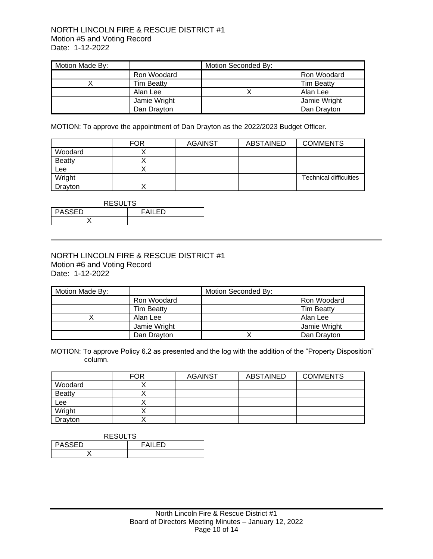### NORTH LINCOLN FIRE & RESCUE DISTRICT #1 Motion #5 and Voting Record Date: 1-12-2022

| Motion Made By: |                   | Motion Seconded By: |                   |
|-----------------|-------------------|---------------------|-------------------|
|                 | Ron Woodard       |                     | Ron Woodard       |
|                 | <b>Tim Beatty</b> |                     | <b>Tim Beatty</b> |
|                 | Alan Lee          |                     | Alan Lee          |
|                 | Jamie Wright      |                     | Jamie Wright      |
|                 | Dan Drayton       |                     | Dan Drayton       |

MOTION: To approve the appointment of Dan Drayton as the 2022/2023 Budget Officer.

|               | <b>FOR</b> | <b>AGAINST</b> | ABSTAINED | <b>COMMENTS</b>               |
|---------------|------------|----------------|-----------|-------------------------------|
| Woodard       |            |                |           |                               |
| <b>Beatty</b> |            |                |           |                               |
| Lee           |            |                |           |                               |
| Wright        |            |                |           | <b>Technical difficulties</b> |
| Drayton       |            |                |           |                               |

| <b>RESULTS</b>          |  |  |
|-------------------------|--|--|
| PASSED<br><b>FAILED</b> |  |  |
|                         |  |  |

### NORTH LINCOLN FIRE & RESCUE DISTRICT #1 Motion #6 and Voting Record Date: 1-12-2022

| Motion Made By: |                   | Motion Seconded By: |                   |
|-----------------|-------------------|---------------------|-------------------|
|                 | Ron Woodard       |                     | Ron Woodard       |
|                 | <b>Tim Beatty</b> |                     | <b>Tim Beatty</b> |
|                 | Alan Lee          |                     | Alan Lee          |
|                 | Jamie Wright      |                     | Jamie Wright      |
|                 | Dan Drayton       |                     | Dan Drayton       |

MOTION: To approve Policy 6.2 as presented and the log with the addition of the "Property Disposition" column.

|               | <b>FOR</b> | <b>AGAINST</b> | <b>ABSTAINED</b> | <b>COMMENTS</b> |
|---------------|------------|----------------|------------------|-----------------|
| Woodard       |            |                |                  |                 |
| <b>Beatty</b> |            |                |                  |                 |
| Lee           |            |                |                  |                 |
| Wright        |            |                |                  |                 |
| Drayton       |            |                |                  |                 |

| <b>RESULTS</b>           |  |  |
|--------------------------|--|--|
| <b>PASSED</b><br>FAII FD |  |  |
|                          |  |  |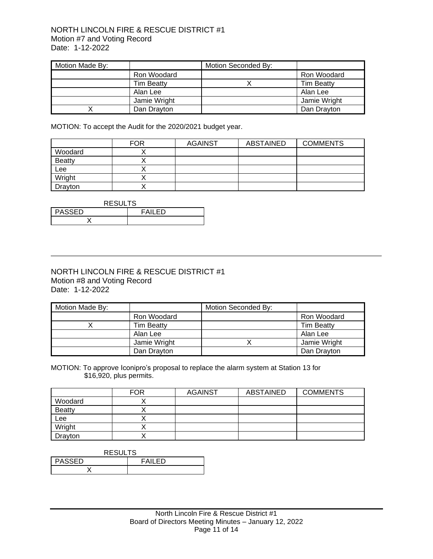### NORTH LINCOLN FIRE & RESCUE DISTRICT #1 Motion #7 and Voting Record Date: 1-12-2022

| Motion Made By: |                   | Motion Seconded By: |                   |
|-----------------|-------------------|---------------------|-------------------|
|                 | Ron Woodard       |                     | Ron Woodard       |
|                 | <b>Tim Beatty</b> |                     | <b>Tim Beatty</b> |
|                 | Alan Lee          |                     | Alan Lee          |
|                 | Jamie Wright      |                     | Jamie Wright      |
|                 | Dan Drayton       |                     | Dan Drayton       |

MOTION: To accept the Audit for the 2020/2021 budget year.

|               | <b>FOR</b> | <b>AGAINST</b> | <b>ABSTAINED</b> | <b>COMMENTS</b> |
|---------------|------------|----------------|------------------|-----------------|
| Woodard       |            |                |                  |                 |
| <b>Beatty</b> |            |                |                  |                 |
| Lee           |            |                |                  |                 |
| Wright        |            |                |                  |                 |
| Drayton       |            |                |                  |                 |

| <b>RESULTS</b>                 |  |  |
|--------------------------------|--|--|
| <b>PASSED</b><br><b>FAILED</b> |  |  |
|                                |  |  |

### NORTH LINCOLN FIRE & RESCUE DISTRICT #1 Motion #8 and Voting Record Date: 1-12-2022

| Motion Made By: |                   | Motion Seconded By: |                   |
|-----------------|-------------------|---------------------|-------------------|
|                 | Ron Woodard       |                     | Ron Woodard       |
|                 | <b>Tim Beatty</b> |                     | <b>Tim Beatty</b> |
|                 | Alan Lee          |                     | Alan Lee          |
|                 | Jamie Wright      |                     | Jamie Wright      |
|                 | Dan Drayton       |                     | Dan Drayton       |

MOTION: To approve Iconipro's proposal to replace the alarm system at Station 13 for \$16,920, plus permits.

|               | <b>FOR</b> | <b>AGAINST</b> | ABSTAINED | <b>COMMENTS</b> |
|---------------|------------|----------------|-----------|-----------------|
| Woodard       |            |                |           |                 |
| <b>Beatty</b> |            |                |           |                 |
| Lee           |            |                |           |                 |
| Wright        |            |                |           |                 |
| Drayton       |            |                |           |                 |

| <b>RESULTS</b>           |  |  |
|--------------------------|--|--|
| <b>PASSED</b><br>FAII FD |  |  |
|                          |  |  |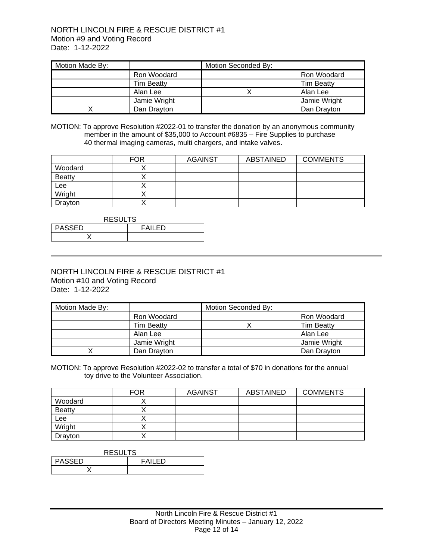| Motion Made By: |                   | Motion Seconded By: |                   |
|-----------------|-------------------|---------------------|-------------------|
|                 | Ron Woodard       |                     | Ron Woodard       |
|                 | <b>Tim Beatty</b> |                     | <b>Tim Beatty</b> |
|                 | Alan Lee          |                     | Alan Lee          |
|                 | Jamie Wright      |                     | Jamie Wright      |
|                 | Dan Drayton       |                     | Dan Drayton       |

MOTION: To approve Resolution #2022-01 to transfer the donation by an anonymous community member in the amount of \$35,000 to Account #6835 – Fire Supplies to purchase 40 thermal imaging cameras, multi chargers, and intake valves.

|               | <b>FOR</b> | <b>AGAINST</b> | ABSTAINED | <b>COMMENTS</b> |
|---------------|------------|----------------|-----------|-----------------|
| Woodard       |            |                |           |                 |
| <b>Beatty</b> |            |                |           |                 |
| Lee           |            |                |           |                 |
| Wright        |            |                |           |                 |
| Drayton       |            |                |           |                 |

| <b>RESULTS</b> |                |  |  |
|----------------|----------------|--|--|
| <b>PASSED</b>  | <b>FAIL FD</b> |  |  |
|                |                |  |  |

### NORTH LINCOLN FIRE & RESCUE DISTRICT #1 Motion #10 and Voting Record Date: 1-12-2022

| Motion Made By: |                   | Motion Seconded By: |                   |
|-----------------|-------------------|---------------------|-------------------|
|                 | Ron Woodard       |                     | Ron Woodard       |
|                 | <b>Tim Beatty</b> |                     | <b>Tim Beatty</b> |
|                 | Alan Lee          |                     | Alan Lee          |
|                 | Jamie Wright      |                     | Jamie Wright      |
|                 | Dan Drayton       |                     | Dan Drayton       |

MOTION: To approve Resolution #2022-02 to transfer a total of \$70 in donations for the annual toy drive to the Volunteer Association.

|               | <b>FOR</b> | <b>AGAINST</b> | <b>ABSTAINED</b> | <b>COMMENTS</b> |
|---------------|------------|----------------|------------------|-----------------|
| Woodard       |            |                |                  |                 |
| <b>Beatty</b> |            |                |                  |                 |
| Lee           |            |                |                  |                 |
| Wright        |            |                |                  |                 |
| Drayton       |            |                |                  |                 |

| <b>RESULTS</b>           |  |  |
|--------------------------|--|--|
| <b>PASSED</b><br>FAII FD |  |  |
|                          |  |  |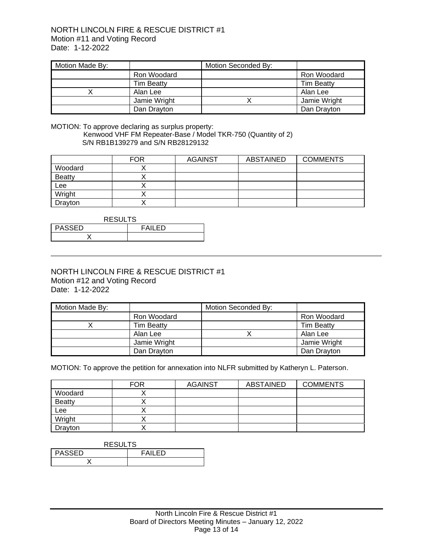### NORTH LINCOLN FIRE & RESCUE DISTRICT #1 Motion #11 and Voting Record Date: 1-12-2022

| Motion Made By: |                   | Motion Seconded By: |                   |
|-----------------|-------------------|---------------------|-------------------|
|                 | Ron Woodard       |                     | Ron Woodard       |
|                 | <b>Tim Beatty</b> |                     | <b>Tim Beatty</b> |
|                 | Alan Lee          |                     | Alan Lee          |
|                 | Jamie Wright      |                     | Jamie Wright      |
|                 | Dan Drayton       |                     | Dan Drayton       |

#### MOTION: To approve declaring as surplus property: Kenwood VHF FM Repeater-Base / Model TKR-750 (Quantity of 2) S/N RB1B139279 and S/N RB28129132

|               | <b>FOR</b> | <b>AGAINST</b> | ABSTAINED | <b>COMMENTS</b> |
|---------------|------------|----------------|-----------|-----------------|
| Woodard       |            |                |           |                 |
| <b>Beatty</b> |            |                |           |                 |
| Lee           |            |                |           |                 |
| Wright        |            |                |           |                 |
| Drayton       |            |                |           |                 |

| <b>RESULTS</b>           |  |  |  |
|--------------------------|--|--|--|
| <b>PASSED</b><br>FAII FD |  |  |  |
|                          |  |  |  |

### NORTH LINCOLN FIRE & RESCUE DISTRICT #1 Motion #12 and Voting Record Date: 1-12-2022

| Motion Made By: |                   | Motion Seconded By: |                   |
|-----------------|-------------------|---------------------|-------------------|
|                 | Ron Woodard       |                     | Ron Woodard       |
|                 | <b>Tim Beatty</b> |                     | <b>Tim Beatty</b> |
|                 | Alan Lee          |                     | Alan Lee          |
|                 | Jamie Wright      |                     | Jamie Wright      |
|                 | Dan Drayton       |                     | Dan Drayton       |

MOTION: To approve the petition for annexation into NLFR submitted by Katheryn L. Paterson.

|               | <b>FOR</b> | <b>AGAINST</b> | <b>ABSTAINED</b> | <b>COMMENTS</b> |
|---------------|------------|----------------|------------------|-----------------|
| Woodard       |            |                |                  |                 |
| <b>Beatty</b> |            |                |                  |                 |
| Lee           |            |                |                  |                 |
| Wright        |            |                |                  |                 |
| Drayton       |            |                |                  |                 |

| <b>RESULTS</b> |         |  |
|----------------|---------|--|
| <b>PASSED</b>  | FAII FD |  |
|                |         |  |